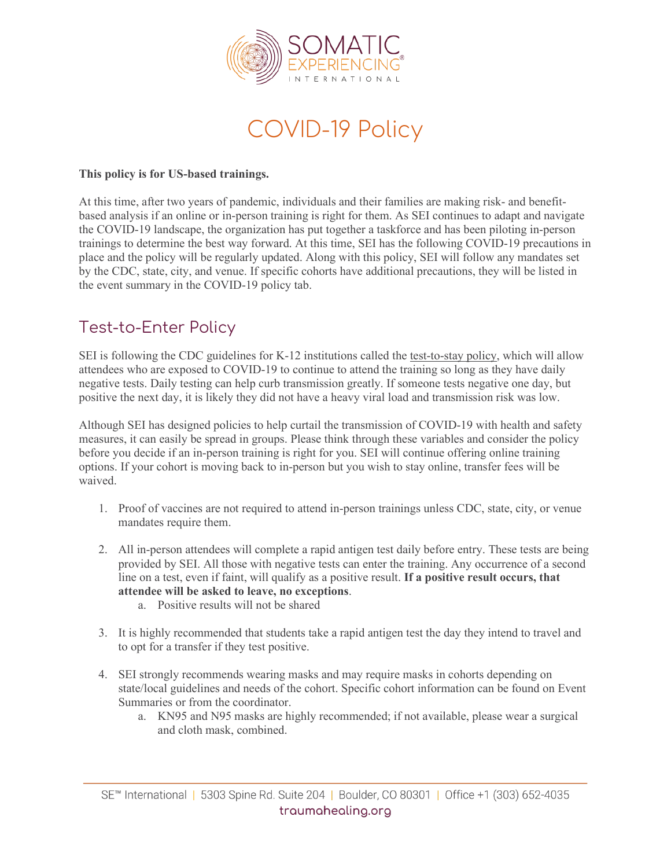

COVID-19 Policy

## **This policy is for US-based trainings.**

At this time, after two years of pandemic, individuals and their families are making risk- and benefitbased analysis if an online or in-person training is right for them. As SEI continues to adapt and navigate the COVID-19 landscape, the organization has put together a taskforce and has been piloting in-person trainings to determine the best way forward. At this time, SEI has the following COVID-19 precautions in place and the policy will be regularly updated. Along with this policy, SEI will follow any mandates set by the CDC, state, city, and venue. If specific cohorts have additional precautions, they will be listed in the event summary in the COVID-19 policy tab.

## Test-to-Enter Policy

SEI is following the CDC guidelines for K-12 institutions called the [test-to-stay](https://www.cdc.gov/media/releases/2021/s1217-Test-To-Stay.html) policy, which will allow attendees who are exposed to COVID-19 to continue to attend the training so long as they have daily negative tests. Daily testing can help curb transmission greatly. If someone tests negative one day, but positive the next day, it is likely they did not have a heavy viral load and transmission risk was low.

Although SEI has designed policies to help curtail the transmission of COVID-19 with health and safety measures, it can easily be spread in groups. Please think through these variables and consider the policy before you decide if an in-person training is right for you. SEI will continue offering online training options. If your cohort is moving back to in-person but you wish to stay online, transfer fees will be waived.

- 1. Proof of vaccines are not required to attend in-person trainings unless CDC, state, city, or venue mandates require them.
- 2. All in-person attendees will complete a rapid antigen test daily before entry. These tests are being provided by SEI. All those with negative tests can enter the training. Any occurrence of a second line on a test, even if faint, will qualify as a positive result. **If a positive result occurs, that attendee will be asked to leave, no exceptions**.
	- a. Positive results will not be shared
- 3. It is highly recommended that students take a rapid antigen test the day they intend to travel and to opt for a transfer if they test positive.
- 4. SEI strongly recommends wearing masks and may require masks in cohorts depending on state/local guidelines and needs of the cohort. Specific cohort information can be found on Event Summaries or from the coordinator.
	- a. KN95 and N95 masks are highly recommended; if not available, please wear a surgical and cloth mask, combined.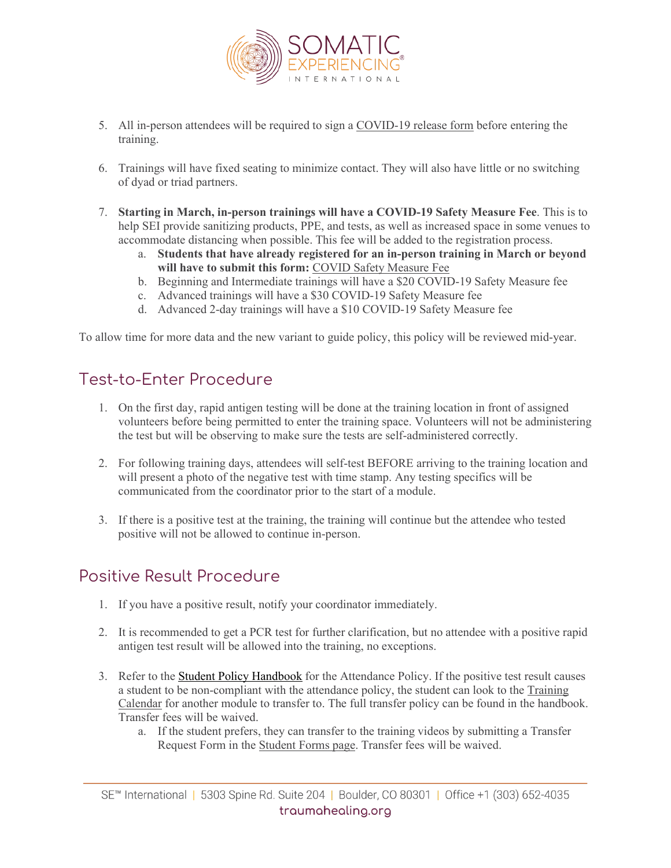

- 5. All in-person attendees will be required to sign a [COVID-19](https://app.hellosign.com/s/J1BNrHSS) release form before entering the training.
- 6. Trainings will have fixed seating to minimize contact. They will also have little or no switching of dyad or triad partners.
- 7. **Starting in March, in-person trainings will have a COVID-19 Safety Measure Fee**. This is to help SEI provide sanitizing products, PPE, and tests, as well as increased space in some venues to accommodate distancing when possible. This fee will be added to the registration process.
	- a. **Students that have already registered for an in-person training in March or beyond will have to submit this form:** COVID Safety [Measure](https://app.hellosign.com/s/2oIMIx9X) Fee
	- b. Beginning and Intermediate trainings will have a \$20 COVID-19 Safety Measure fee
	- c. Advanced trainings will have a \$30 COVID-19 Safety Measure fee
	- d. Advanced 2-day trainings will have a \$10 COVID-19 Safety Measure fee

To allow time for more data and the new variant to guide policy, this policy will be reviewed mid-year.

## Test-to-Enter Procedure

- 1. On the first day, rapid antigen testing will be done at the training location in front of assigned volunteers before being permitted to enter the training space. Volunteers will not be administering the test but will be observing to make sure the tests are self-administered correctly.
- 2. For following training days, attendees will self-test BEFORE arriving to the training location and will present a photo of the negative test with time stamp. Any testing specifics will be communicated from the coordinator prior to the start of a module.
- 3. If there is a positive test at the training, the training will continue but the attendee who tested positive will not be allowed to continue in-person.

## Positive Result Procedure

- 1. If you have a positive result, notify your coordinator immediately.
- 2. It is recommended to get a PCR test for further clarification, but no attendee with a positive rapid antigen test result will be allowed into the training, no exceptions.
- 3. Refer to the Student Policy [Handbook](https://hq892qzdgr1cn4n8hhv8d1f9-wpengine.netdna-ssl.com/wp-content/uploads/2022/01/Student-Policy-Handbook-1.18.22.pdf) for the Attendance Policy. If the positive test result causes a student to be non-compliant with the attendance policy, the student can look to the [Training](https://traumahealing.org/training-event-search/) [Calendar](https://traumahealing.org/training-event-search/) for another module to transfer to. The full transfer policy can be found in the handbook. Transfer fees will be waived.
	- a. If the student prefers, they can transfer to the training videos by submitting a Transfer Request Form in the [Student](https://traumahealing.org/student-forms/) Forms page. Transfer fees will be waived.